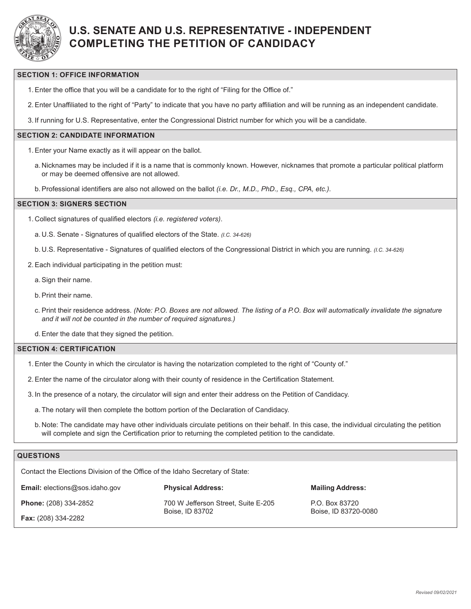

# **U.S. SENATE AND U.S. REPRESENTATIVE - INDEPENDENT COMPLETING THE PETITION OF CANDIDACY**

#### **SECTION 1: OFFICE INFORMATION**

- 1.Enter the office that you will be a candidate for to the right of "Filing for the Office of."
- 2.Enter Unaffiliated to the right of "Party" to indicate that you have no party affiliation and will be running as an independent candidate.

3. If running for U.S. Representative, enter the Congressional District number for which you will be a candidate.

### **SECTION 2: CANDIDATE INFORMATION**

- 1.Enter your Name exactly as it will appear on the ballot.
	- a. Nicknames may be included if it is a name that is commonly known. However, nicknames that promote a particular political platform or may be deemed offensive are not allowed.
- b.Professional identifiers are also not allowed on the ballot *(i.e. Dr., M.D., PhD., Esq., CPA, etc.)*.

#### **SECTION 3: SIGNERS SECTION**

- 1. Collect signatures of qualified electors *(i.e. registered voters)*.
	- a. U.S. Senate Signatures of qualified electors of the State. *(I.C. 34-626)*
	- b. U.S. Representative Signatures of qualified electors of the Congressional District in which you are running. *(I.C. 34-626)*
- 2.Each individual participating in the petition must:
	- a.Sign their name.
	- b.Print their name.
	- c. Print their residence address. *(Note: P.O. Boxes are not allowed. The listing of a P.O. Box will automatically invalidate the signature and it will not be counted in the number of required signatures.)*

d.Enter the date that they signed the petition.

#### **SECTION 4: CERTIFICATION**

- 1.Enter the County in which the circulator is having the notarization completed to the right of "County of."
- 2.Enter the name of the circulator along with their county of residence in the Certification Statement.
- 3. In the presence of a notary, the circulator will sign and enter their address on the Petition of Candidacy.
	- a. The notary will then complete the bottom portion of the Declaration of Candidacy.
	- b. Note: The candidate may have other individuals circulate petitions on their behalf. In this case, the individual circulating the petition will complete and sign the Certification prior to returning the completed petition to the candidate.

### **QUESTIONS**

Contact the Elections Division of the Office of the Idaho Secretary of State:

**Email:** elections@sos.idaho.gov

**Phone:** (208) 334-2852

**Fax:** (208) 334-2282

**Physical Address:**

700 W Jefferson Street, Suite E-205 Boise, ID 83702

**Mailing Address:**

P.O. Box 83720 Boise, ID 83720-0080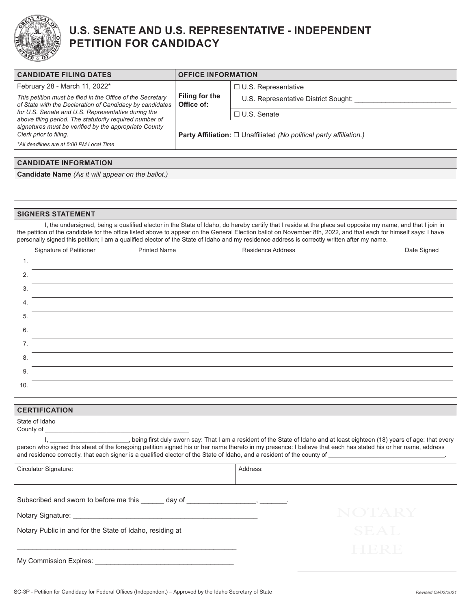

# **U.S. SENATE AND U.S. REPRESENTATIVE - INDEPENDENT PETITION FOR CANDIDACY**

| <b>CANDIDATE FILING DATES</b>                                                                                                                                                                                                                                                                                                                                                                                                                                                  | <b>OFFICE INFORMATION</b>           |                                                                            |                                                |  |  |  |  |
|--------------------------------------------------------------------------------------------------------------------------------------------------------------------------------------------------------------------------------------------------------------------------------------------------------------------------------------------------------------------------------------------------------------------------------------------------------------------------------|-------------------------------------|----------------------------------------------------------------------------|------------------------------------------------|--|--|--|--|
| February 28 - March 11, 2022*<br>This petition must be filed in the Office of the Secretary<br>of State with the Declaration of Candidacy by candidates<br>for U.S. Senate and U.S. Representative during the                                                                                                                                                                                                                                                                  | <b>Filing for the</b><br>Office of: | □ U.S. Representative                                                      |                                                |  |  |  |  |
|                                                                                                                                                                                                                                                                                                                                                                                                                                                                                |                                     |                                                                            | U.S. Representative District Sought: _________ |  |  |  |  |
|                                                                                                                                                                                                                                                                                                                                                                                                                                                                                |                                     | □ U.S. Senate                                                              |                                                |  |  |  |  |
| above filing period. The statutorily required number of<br>signatures must be verified by the appropriate County<br>Clerk prior to filing.                                                                                                                                                                                                                                                                                                                                     |                                     | <b>Party Affiliation:</b> □ Unaffiliated (No political party affiliation.) |                                                |  |  |  |  |
| *All deadlines are at 5:00 PM Local Time                                                                                                                                                                                                                                                                                                                                                                                                                                       |                                     |                                                                            |                                                |  |  |  |  |
| <b>CANDIDATE INFORMATION</b>                                                                                                                                                                                                                                                                                                                                                                                                                                                   |                                     |                                                                            |                                                |  |  |  |  |
| Candidate Name (As it will appear on the ballot.)                                                                                                                                                                                                                                                                                                                                                                                                                              |                                     |                                                                            |                                                |  |  |  |  |
|                                                                                                                                                                                                                                                                                                                                                                                                                                                                                |                                     |                                                                            |                                                |  |  |  |  |
|                                                                                                                                                                                                                                                                                                                                                                                                                                                                                |                                     |                                                                            |                                                |  |  |  |  |
|                                                                                                                                                                                                                                                                                                                                                                                                                                                                                |                                     |                                                                            |                                                |  |  |  |  |
| <b>SIGNERS STATEMENT</b>                                                                                                                                                                                                                                                                                                                                                                                                                                                       |                                     |                                                                            |                                                |  |  |  |  |
| I, the undersigned, being a qualified elector in the State of Idaho, do hereby certify that I reside at the place set opposite my name, and that I join in<br>the petition of the candidate for the office listed above to appear on the General Election ballot on November 8th, 2022, and that each for himself says: I have<br>personally signed this petition; I am a qualified elector of the State of Idaho and my residence address is correctly written after my name. |                                     |                                                                            |                                                |  |  |  |  |
| Signature of Petitioner<br><b>Printed Name</b>                                                                                                                                                                                                                                                                                                                                                                                                                                 |                                     | <b>Residence Address</b>                                                   | Date Signed                                    |  |  |  |  |
| 1.                                                                                                                                                                                                                                                                                                                                                                                                                                                                             |                                     |                                                                            |                                                |  |  |  |  |
| 2.                                                                                                                                                                                                                                                                                                                                                                                                                                                                             |                                     |                                                                            |                                                |  |  |  |  |
| 3.                                                                                                                                                                                                                                                                                                                                                                                                                                                                             |                                     |                                                                            |                                                |  |  |  |  |
| 4.                                                                                                                                                                                                                                                                                                                                                                                                                                                                             |                                     |                                                                            |                                                |  |  |  |  |
| 5.                                                                                                                                                                                                                                                                                                                                                                                                                                                                             |                                     |                                                                            |                                                |  |  |  |  |
| 6.                                                                                                                                                                                                                                                                                                                                                                                                                                                                             |                                     |                                                                            |                                                |  |  |  |  |
| 7.                                                                                                                                                                                                                                                                                                                                                                                                                                                                             |                                     |                                                                            |                                                |  |  |  |  |
| 8.                                                                                                                                                                                                                                                                                                                                                                                                                                                                             |                                     |                                                                            |                                                |  |  |  |  |
| 9.                                                                                                                                                                                                                                                                                                                                                                                                                                                                             |                                     |                                                                            |                                                |  |  |  |  |
| 10.                                                                                                                                                                                                                                                                                                                                                                                                                                                                            |                                     |                                                                            |                                                |  |  |  |  |
| <b>CERTIFICATION</b>                                                                                                                                                                                                                                                                                                                                                                                                                                                           |                                     |                                                                            |                                                |  |  |  |  |
| State of Idaho                                                                                                                                                                                                                                                                                                                                                                                                                                                                 |                                     |                                                                            |                                                |  |  |  |  |
| County of                                                                                                                                                                                                                                                                                                                                                                                                                                                                      |                                     |                                                                            |                                                |  |  |  |  |
| being first duly sworn say: That I am a resident of the State of Idaho and at least eighteen (18) years of age: that every والمساحد المستحدث<br>person who signed this sheet of the foregoing petition signed his or her name thereto in my presence: I believe that each has stated his or her name, address<br>and residence correctly, that each signer is a qualified elector of the State of Idaho, and a resident of the county of                                       |                                     |                                                                            |                                                |  |  |  |  |
| Circulator Signature:                                                                                                                                                                                                                                                                                                                                                                                                                                                          |                                     | Address:                                                                   |                                                |  |  |  |  |
|                                                                                                                                                                                                                                                                                                                                                                                                                                                                                |                                     |                                                                            |                                                |  |  |  |  |
| Subscribed and sworn to before me this ______ day of _____________________, ________.                                                                                                                                                                                                                                                                                                                                                                                          |                                     |                                                                            |                                                |  |  |  |  |
|                                                                                                                                                                                                                                                                                                                                                                                                                                                                                |                                     |                                                                            | NOTARY                                         |  |  |  |  |
| Notary Public in and for the State of Idaho, residing at                                                                                                                                                                                                                                                                                                                                                                                                                       |                                     |                                                                            | SEAL                                           |  |  |  |  |
|                                                                                                                                                                                                                                                                                                                                                                                                                                                                                |                                     |                                                                            | HERE                                           |  |  |  |  |
|                                                                                                                                                                                                                                                                                                                                                                                                                                                                                |                                     |                                                                            |                                                |  |  |  |  |